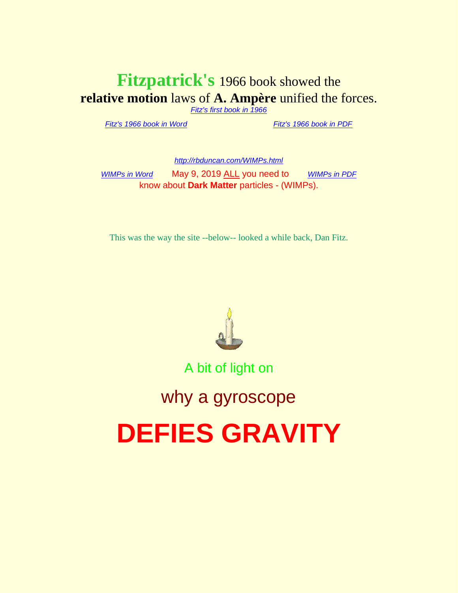### **Fitzpatrick's** 1966 book showed the **relative motion** laws of **A. Ampère** unified the forces.

*[Fitz's first book in 1966](http://rbduncan.com/1966.html)*

*[Fitz's 1966 book in Word](http://rbduncan.com/1966.doc)* . . . . . . . . . . . *[Fitz's 1966 book in PDF](http://rbduncan.com/1966.pdf)*

*<http://rbduncan.com/WIMPs.html> [WIMPs in Word](http://rbduncan.com/WIMPS.doc)* May 9, 2019 ALL you need to [WIMPs in PDF](http://rbduncan.com/WIMPs.pdf) know about **Dark Matter** particles - (WIMPs).

This was the way the site --below-- looked a while back, Dan Fitz.



A bit of light on

## why a gyroscope

# **DEFIES GRAVITY**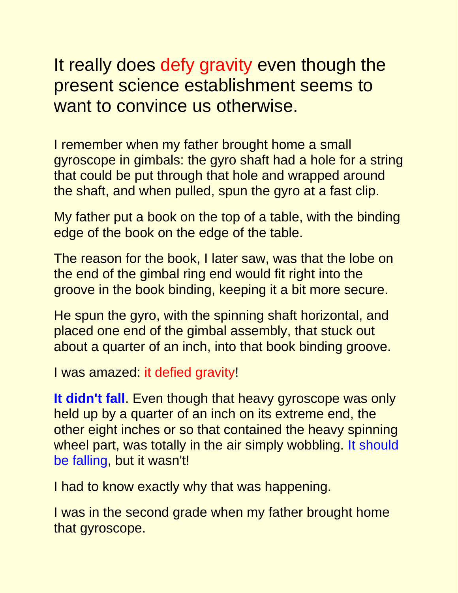It really does defy gravity even though the present science establishment seems to want to convince us otherwise.

I remember when my father brought home a small gyroscope in gimbals: the gyro shaft had a hole for a string that could be put through that hole and wrapped around the shaft, and when pulled, spun the gyro at a fast clip.

My father put a book on the top of a table, with the binding edge of the book on the edge of the table.

The reason for the book, I later saw, was that the lobe on the end of the gimbal ring end would fit right into the groove in the book binding, keeping it a bit more secure.

He spun the gyro, with the spinning shaft horizontal, and placed one end of the gimbal assembly, that stuck out about a quarter of an inch, into that book binding groove.

I was amazed: it defied gravity!

**It didn't fall**. Even though that heavy gyroscope was only held up by a quarter of an inch on its extreme end, the other eight inches or so that contained the heavy spinning wheel part, was totally in the air simply wobbling. It should be falling, but it wasn't!

I had to know exactly why that was happening.

I was in the second grade when my father brought home that gyroscope.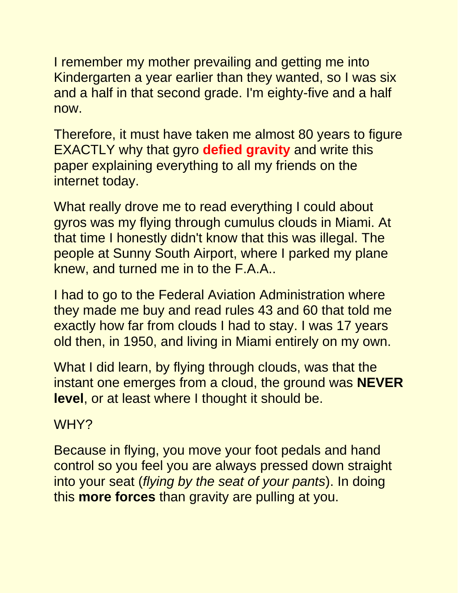I remember my mother prevailing and getting me into Kindergarten a year earlier than they wanted, so I was six and a half in that second grade. I'm eighty-five and a half now.

Therefore, it must have taken me almost 80 years to figure EXACTLY why that gyro **defied gravity** and write this paper explaining everything to all my friends on the internet today.

What really drove me to read everything I could about gyros was my flying through cumulus clouds in Miami. At that time I honestly didn't know that this was illegal. The people at Sunny South Airport, where I parked my plane knew, and turned me in to the F.A.A..

I had to go to the Federal Aviation Administration where they made me buy and read rules 43 and 60 that told me exactly how far from clouds I had to stay. I was 17 years old then, in 1950, and living in Miami entirely on my own.

What I did learn, by flying through clouds, was that the instant one emerges from a cloud, the ground was **NEVER level**, or at least where I thought it should be.

#### WHY?

Because in flying, you move your foot pedals and hand control so you feel you are always pressed down straight into your seat (*flying by the seat of your pants*). In doing this **more forces** than gravity are pulling at you.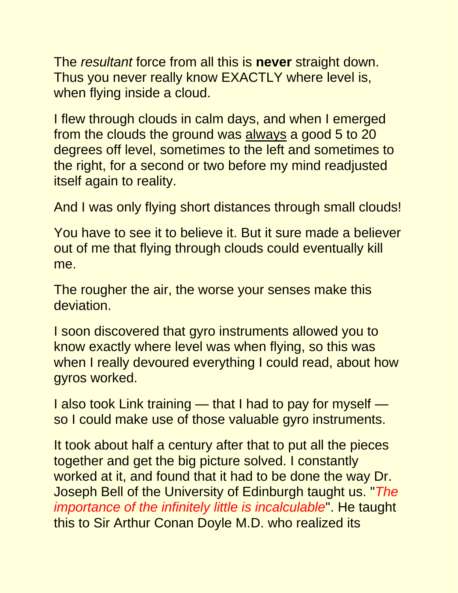The *resultant* force from all this is **never** straight down. Thus you never really know EXACTLY where level is, when flying inside a cloud.

I flew through clouds in calm days, and when I emerged from the clouds the ground was always a good 5 to 20 degrees off level, sometimes to the left and sometimes to the right, for a second or two before my mind readjusted itself again to reality.

And I was only flying short distances through small clouds!

You have to see it to believe it. But it sure made a believer out of me that flying through clouds could eventually kill me.

The rougher the air, the worse your senses make this deviation.

I soon discovered that gyro instruments allowed you to know exactly where level was when flying, so this was when I really devoured everything I could read, about how gyros worked.

I also took Link training — that I had to pay for myself so I could make use of those valuable gyro instruments.

It took about half a century after that to put all the pieces together and get the big picture solved. I constantly worked at it, and found that it had to be done the way Dr. Joseph Bell of the University of Edinburgh taught us. "*The importance of the infinitely little is incalculable*". He taught this to Sir Arthur Conan Doyle M.D. who realized its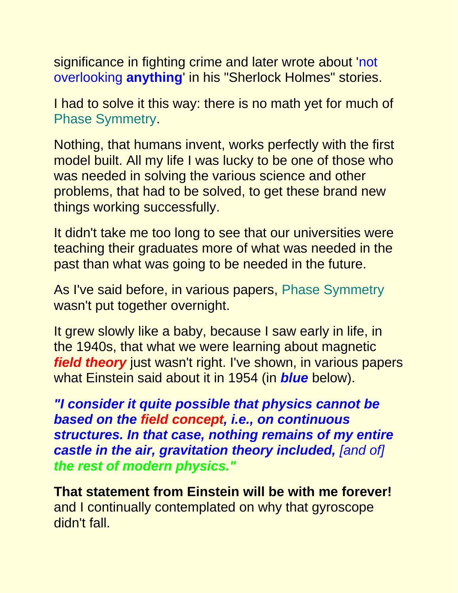significance in fighting crime and later wrote about 'not overlooking **anything**' in his "Sherlock Holmes" stories.

I had to solve it this way: there is no math yet for much of Phase Symmetry.

Nothing, that humans invent, works perfectly with the first model built. All my life I was lucky to be one of those who was needed in solving the various science and other problems, that had to be solved, to get these brand new things working successfully.

It didn't take me too long to see that our universities were teaching their graduates more of what was needed in the past than what was going to be needed in the future.

As I've said before, in various papers, Phase Symmetry wasn't put together overnight.

It grew slowly like a baby, because I saw early in life, in the 1940s, that what we were learning about magnetic *field theory* just wasn't right. I've shown, in various papers what Einstein said about it in 1954 (in *blue* below).

*"I consider it quite possible that physics cannot be based on the field concept, i.e., on continuous structures. In that case, nothing remains of my entire*  **castle in the air, gravitation theory included, [and of]** *the rest of modern physics."*

**That statement from Einstein will be with me forever!** and I continually contemplated on why that gyroscope didn't fall.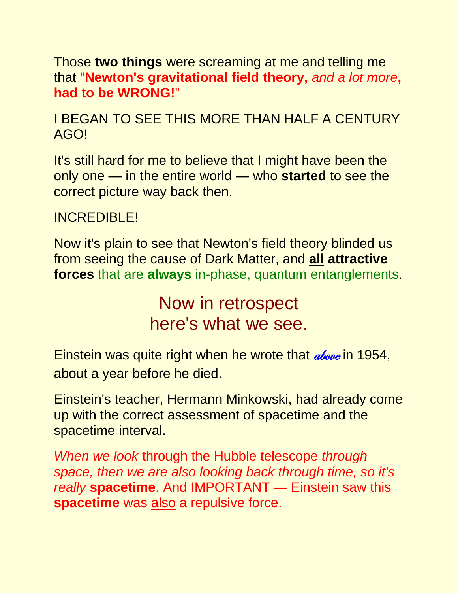Those **two things** were screaming at me and telling me that "**Newton's gravitational field theory,** *and a lot more***, had to be WRONG!**"

I BEGAN TO SEE THIS MORE THAN HALF A CENTURY AGO!

It's still hard for me to believe that I might have been the only one — in the entire world — who **started** to see the correct picture way back then.

#### INCREDIBLE!

Now it's plain to see that Newton's field theory blinded us from seeing the cause of Dark Matter, and **all attractive forces** that are **always** in-phase, quantum entanglements.

> Now in retrospect here's what we see.

Einstein was quite right when he wrote that *above* in 1954, about a year before he died.

Einstein's teacher, Hermann Minkowski, had already come up with the correct assessment of spacetime and the spacetime interval.

*When we look* through the Hubble telescope *through space, then we are also looking back through time, so it's really* **spacetime**. And IMPORTANT — Einstein saw this **spacetime** was also a repulsive force.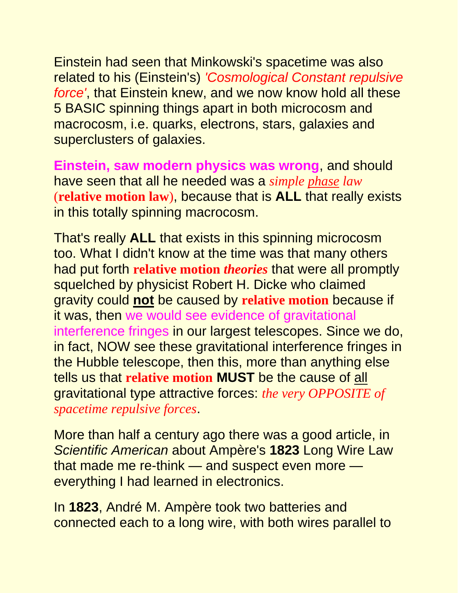Einstein had seen that Minkowski's spacetime was also related to his (Einstein's) *'Cosmological Constant repulsive force'*, that Einstein knew, and we now know hold all these 5 BASIC spinning things apart in both microcosm and macrocosm, i.e. quarks, electrons, stars, galaxies and superclusters of galaxies.

**Einstein, saw modern physics was wrong**, and should have seen that all he needed was a *simple phase law* (**relative motion law**), because that is **ALL** that really exists in this totally spinning macrocosm.

That's really **ALL** that exists in this spinning microcosm too. What I didn't know at the time was that many others had put forth **relative motion** *theories* that were all promptly squelched by physicist Robert H. Dicke who claimed gravity could **not** be caused by **relative motion** because if it was, then we would see evidence of gravitational interference fringes in our largest telescopes. Since we do, in fact, NOW see these gravitational interference fringes in the Hubble telescope, then this, more than anything else tells us that **relative motion MUST** be the cause of all gravitational type attractive forces: *the very OPPOSITE of spacetime repulsive forces*.

More than half a century ago there was a good article, in *Scientific American* about Ampère's **1823** Long Wire Law that made me re-think — and suspect even more everything I had learned in electronics.

In **1823**, André M. Ampère took two batteries and connected each to a long wire, with both wires parallel to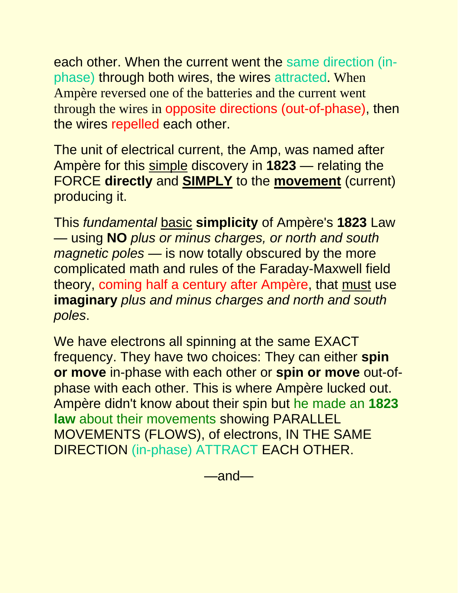each other. When the current went the same direction (inphase) through both wires, the wires attracted. When Ampère reversed one of the batteries and the current went through the wires in opposite directions (out-of-phase), then the wires repelled each other.

The unit of electrical current, the Amp, was named after Ampère for this simple discovery in **1823** — relating the FORCE **directly** and **SIMPLY** to the **movement** (current) producing it.

This *fundamental* basic **simplicity** of Ampère's **1823** Law — using **NO** *plus or minus charges, or north and south magnetic poles* — is now totally obscured by the more complicated math and rules of the Faraday-Maxwell field theory, coming half a century after Ampère, that must use **imaginary** *plus and minus charges and north and south poles*.

We have electrons all spinning at the same EXACT frequency. They have two choices: They can either **spin or move** in-phase with each other or **spin or move** out-ofphase with each other. This is where Ampère lucked out. Ampère didn't know about their spin but he made an **1823 law** about their movements showing PARALLEL MOVEMENTS (FLOWS), of electrons, IN THE SAME DIRECTION (in-phase) ATTRACT EACH OTHER.

—and—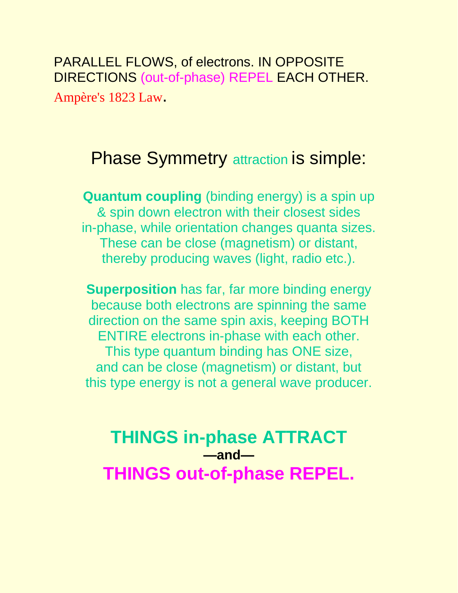PARALLEL FLOWS, of electrons. IN OPPOSITE DIRECTIONS (out-of-phase) REPEL EACH OTHER. Ampère's 1823 Law.

## **Phase Symmetry attraction is simple:**

**Quantum coupling** (binding energy) is a spin up & spin down electron with their closest sides in-phase, while orientation changes quanta sizes. These can be close (magnetism) or distant, thereby producing waves (light, radio etc.).

**Superposition** has far, far more binding energy because both electrons are spinning the same direction on the same spin axis, keeping BOTH ENTIRE electrons in-phase with each other. This type quantum binding has ONE size, and can be close (magnetism) or distant, but this type energy is not a general wave producer.

**THINGS in-phase ATTRACT —and— THINGS out-of-phase REPEL.**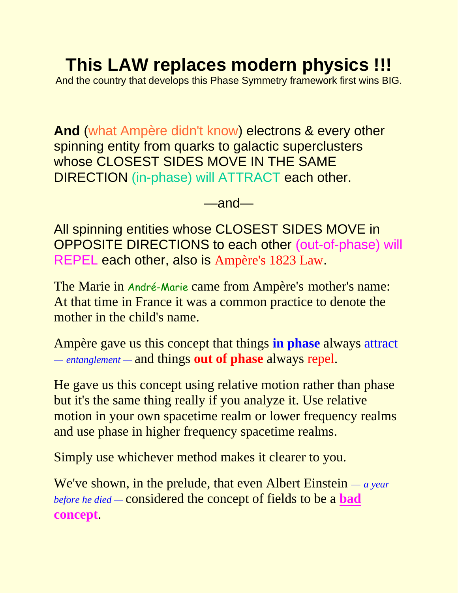# **This LAW replaces modern physics !!!**

And the country that develops this Phase Symmetry framework first wins BIG.

**And** (what Ampère didn't know) electrons & every other spinning entity from quarks to galactic superclusters whose CLOSEST SIDES MOVE IN THE SAME DIRECTION (in-phase) will ATTRACT each other.

 $\equiv$  and $\equiv$ 

All spinning entities whose CLOSEST SIDES MOVE in OPPOSITE DIRECTIONS to each other (out-of-phase) will REPEL each other, also is Ampère's 1823 Law.

The Marie in André-Marie came from Ampère's mother's name: At that time in France it was a common practice to denote the mother in the child's name.

Ampère gave us this concept that things **in phase** always attract *— entanglement —* and things **out of phase** always repel.

He gave us this concept using relative motion rather than phase but it's the same thing really if you analyze it. Use relative motion in your own spacetime realm or lower frequency realms and use phase in higher frequency spacetime realms.

Simply use whichever method makes it clearer to you.

We've shown, in the prelude, that even Albert Einstein *— a year before he died —* considered the concept of fields to be a **bad concept**.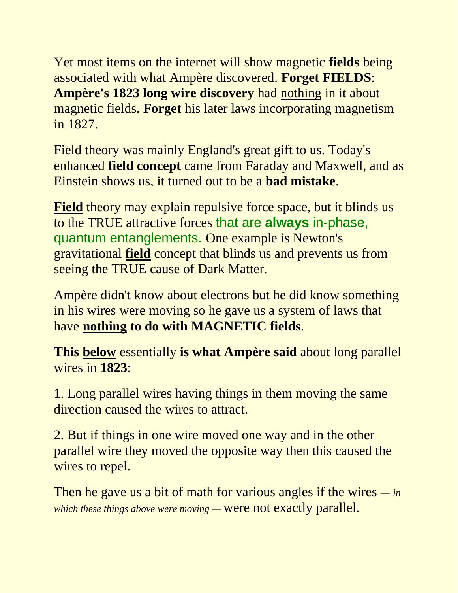Yet most items on the internet will show magnetic **fields** being associated with what Ampère discovered. **Forget FIELDS**: **Ampère's 1823 long wire discovery** had nothing in it about magnetic fields. **Forget** his later laws incorporating magnetism in 1827.

Field theory was mainly England's great gift to us. Today's enhanced **field concept** came from Faraday and Maxwell, and as Einstein shows us, it turned out to be a **bad mistake**.

**Field** theory may explain repulsive force space, but it blinds us to the TRUE attractive forces that are **always** in-phase, quantum entanglements. One example is Newton's gravitational **field** concept that blinds us and prevents us from seeing the TRUE cause of Dark Matter.

Ampère didn't know about electrons but he did know something in his wires were moving so he gave us a system of laws that have **nothing to do with MAGNETIC fields**.

**This below** essentially **is what Ampère said** about long parallel wires in **1823**:

1. Long parallel wires having things in them moving the same direction caused the wires to attract.

2. But if things in one wire moved one way and in the other parallel wire they moved the opposite way then this caused the wires to repel.

Then he gave us a bit of math for various angles if the wires *— in which these things above were moving —* were not exactly parallel.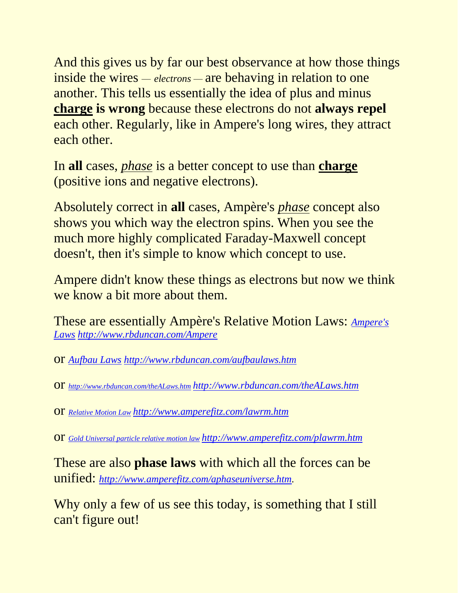And this gives us by far our best observance at how those things inside the wires *— electrons —* are behaving in relation to one another. This tells us essentially the idea of plus and minus **charge is wrong** because these electrons do not **always repel** each other. Regularly, like in Ampere's long wires, they attract each other.

In **all** cases, *phase* is a better concept to use than **charge** (positive ions and negative electrons).

Absolutely correct in **all** cases, Ampère's *phase* concept also shows you which way the electron spins. When you see the much more highly complicated Faraday-Maxwell concept doesn't, then it's simple to know which concept to use.

Ampere didn't know these things as electrons but now we think we know a bit more about them.

These are essentially Ampère's Relative Motion Laws: *[Ampere's](http://www.rbduncan.com/Ampere)  [Laws](http://www.rbduncan.com/Ampere) <http://www.rbduncan.com/Ampere>*

or *[Aufbau Laws](http://www.rbduncan.com/aufbaulaws.htm) <http://www.rbduncan.com/aufbaulaws.htm>*

or *<http://www.rbduncan.com/theALaws.htm> <http://www.rbduncan.com/theALaws.htm>*

or *[Relative Motion Law](http://www.amperefitz.com/lawrm.htm) <http://www.amperefitz.com/lawrm.htm>*

or *[Gold Universal particle relative motion law](http://amperefitz.com/plawrm.htm) <http://www.amperefitz.com/plawrm.htm>*

These are also **phase laws** with which all the forces can be unified: *[http://www.amperefitz.com/aphaseuniverse.htm.](http://www.amperefitz.com/aphaseuniverse.htm)*

Why only a few of us see this today, is something that I still can't figure out!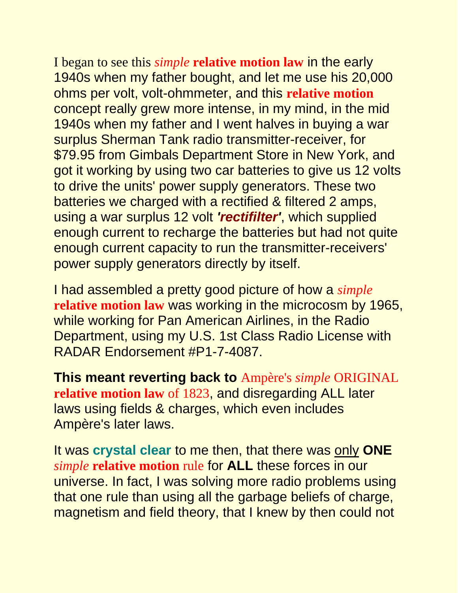I began to see this *simple* **relative motion law** in the early 1940s when my father bought, and let me use his 20,000 ohms per volt, volt-ohmmeter, and this **relative motion** concept really grew more intense, in my mind, in the mid 1940s when my father and I went halves in buying a war surplus Sherman Tank radio transmitter-receiver, for \$79.95 from Gimbals Department Store in New York, and got it working by using two car batteries to give us 12 volts to drive the units' power supply generators. These two batteries we charged with a rectified & filtered 2 amps, using a war surplus 12 volt *'rectifilter'*, which supplied enough current to recharge the batteries but had not quite enough current capacity to run the transmitter-receivers' power supply generators directly by itself.

I had assembled a pretty good picture of how a *simple* **relative motion law** was working in the microcosm by 1965, while working for Pan American Airlines, in the Radio Department, using my U.S. 1st Class Radio License with RADAR Endorsement #P1-7-4087.

**This meant reverting back to** Ampère's *simple* ORIGINAL **relative motion law** of 1823, and disregarding ALL later laws using fields & charges, which even includes Ampère's later laws.

It was **crystal clear** to me then, that there was only **ONE** *simple* **relative motion** rule for **ALL** these forces in our universe. In fact, I was solving more radio problems using that one rule than using all the garbage beliefs of charge, magnetism and field theory, that I knew by then could not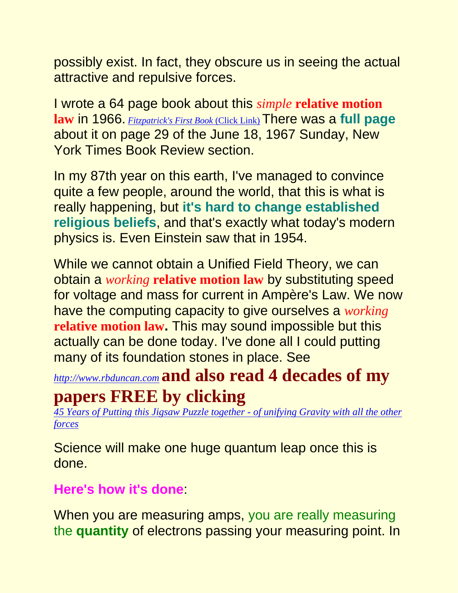possibly exist. In fact, they obscure us in seeing the actual attractive and repulsive forces.

I wrote a 64 page book about this *simple* **relative motion law** in 1966. *[Fitzpatrick's First Book](http://www.rbduncan.com/1966.html)* (Click Link) There was a **full page** about it on page 29 of the June 18, 1967 Sunday, New York Times Book Review section.

In my 87th year on this earth, I've managed to convince quite a few people, around the world, that this is what is really happening, but **it's hard to change established religious beliefs**, and that's exactly what today's modern physics is. Even Einstein saw that in 1954.

While we cannot obtain a Unified Field Theory, we can obtain a *working* **relative motion law** by substituting speed for voltage and mass for current in Ampère's Law. We now have the computing capacity to give ourselves a *working* **relative motion law.** This may sound impossible but this actually can be done today. I've done all I could putting many of its foundation stones in place. See

*[http://www.rbduncan.com](http://www.rbduncan.com/)* **and also read 4 decades of my** 

# **papers FREE by clicking**

*[45 Years of Putting this Jigsaw Puzzle together -](http://www.rbduncan.com/45years.htm) of unifying Gravity with all the other [forces](http://www.rbduncan.com/45years.htm)*

Science will make one huge quantum leap once this is done.

#### **Here's how it's done**:

When you are measuring amps, you are really measuring the **quantity** of electrons passing your measuring point. In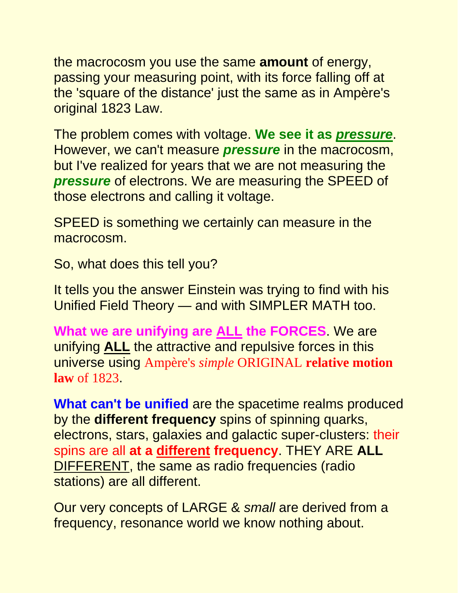the macrocosm you use the same **amount** of energy, passing your measuring point, with its force falling off at the 'square of the distance' just the same as in Ampère's original 1823 Law.

The problem comes with voltage. **We see it as** *pressure*. However, we can't measure *pressure* in the macrocosm, but I've realized for years that we are not measuring the *pressure* of electrons. We are measuring the SPEED of those electrons and calling it voltage.

SPEED is something we certainly can measure in the macrocosm.

So, what does this tell you?

It tells you the answer Einstein was trying to find with his Unified Field Theory — and with SIMPLER MATH too.

**What we are unifying are ALL the FORCES**. We are unifying **ALL** the attractive and repulsive forces in this universe using Ampère's *simple* ORIGINAL **relative motion law** of 1823.

**What can't be unified** are the spacetime realms produced by the **different frequency** spins of spinning quarks, electrons, stars, galaxies and galactic super-clusters: their spins are all **at a different frequency**. THEY ARE **ALL** DIFFERENT, the same as radio frequencies (radio stations) are all different.

Our very concepts of LARGE & *small* are derived from a frequency, resonance world we know nothing about.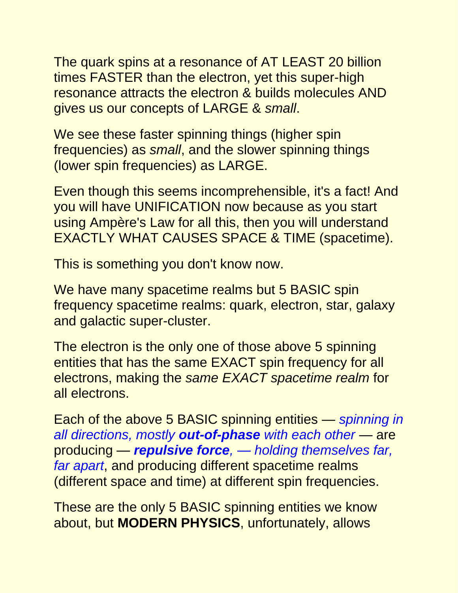The quark spins at a resonance of AT LEAST 20 billion times FASTER than the electron, yet this super-high resonance attracts the electron & builds molecules AND gives us our concepts of LARGE & *small*.

We see these faster spinning things (higher spin frequencies) as *small*, and the slower spinning things (lower spin frequencies) as LARGE.

Even though this seems incomprehensible, it's a fact! And you will have UNIFICATION now because as you start using Ampère's Law for all this, then you will understand EXACTLY WHAT CAUSES SPACE & TIME (spacetime).

This is something you don't know now.

We have many spacetime realms but 5 BASIC spin frequency spacetime realms: quark, electron, star, galaxy and galactic super-cluster.

The electron is the only one of those above 5 spinning entities that has the same EXACT spin frequency for all electrons, making the *same EXACT spacetime realm* for all electrons.

Each of the above 5 BASIC spinning entities — *spinning in all directions, mostly out-of-phase with each other* — are producing — *repulsive force, — holding themselves far, far apart*, and producing different spacetime realms (different space and time) at different spin frequencies.

These are the only 5 BASIC spinning entities we know about, but **MODERN PHYSICS**, unfortunately, allows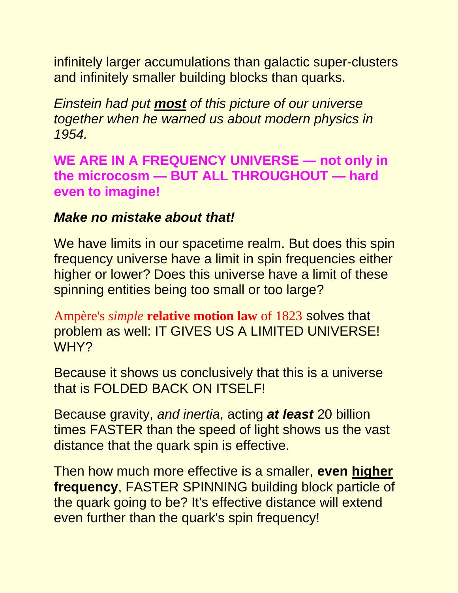infinitely larger accumulations than galactic super-clusters and infinitely smaller building blocks than quarks.

*Einstein had put most of this picture of our universe together when he warned us about modern physics in 1954.*

**WE ARE IN A FREQUENCY UNIVERSE — not only in the microcosm — BUT ALL THROUGHOUT — hard even to imagine!**

#### *Make no mistake about that!*

We have limits in our spacetime realm. But does this spin frequency universe have a limit in spin frequencies either higher or lower? Does this universe have a limit of these spinning entities being too small or too large?

Ampère's *simple* **relative motion law** of 1823 solves that problem as well: IT GIVES US A LIMITED UNIVERSE! WHY?

Because it shows us conclusively that this is a universe that is FOLDED BACK ON ITSELF!

Because gravity, *and inertia*, acting *at least* 20 billion times FASTER than the speed of light shows us the vast distance that the quark spin is effective.

Then how much more effective is a smaller, **even higher frequency**, FASTER SPINNING building block particle of the quark going to be? It's effective distance will extend even further than the quark's spin frequency!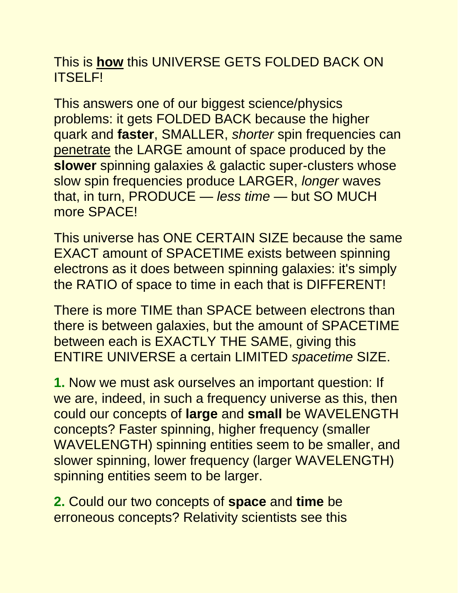#### This is **how** this UNIVERSE GETS FOLDED BACK ON ITSELF!

This answers one of our biggest science/physics problems: it gets FOLDED BACK because the higher quark and **faster**, SMALLER, *shorter* spin frequencies can penetrate the LARGE amount of space produced by the **slower** spinning galaxies & galactic super-clusters whose slow spin frequencies produce LARGER, *longer* waves that, in turn, PRODUCE — *less time* — but SO MUCH more SPACE!

This universe has ONE CERTAIN SIZE because the same EXACT amount of SPACETIME exists between spinning electrons as it does between spinning galaxies: it's simply the RATIO of space to time in each that is DIFFERENT!

There is more TIME than SPACE between electrons than there is between galaxies, but the amount of SPACETIME between each is EXACTLY THE SAME, giving this ENTIRE UNIVERSE a certain LIMITED *spacetime* SIZE.

**1.** Now we must ask ourselves an important question: If we are, indeed, in such a frequency universe as this, then could our concepts of **large** and **small** be WAVELENGTH concepts? Faster spinning, higher frequency (smaller WAVELENGTH) spinning entities seem to be smaller, and slower spinning, lower frequency (larger WAVELENGTH) spinning entities seem to be larger.

**2.** Could our two concepts of **space** and **time** be erroneous concepts? Relativity scientists see this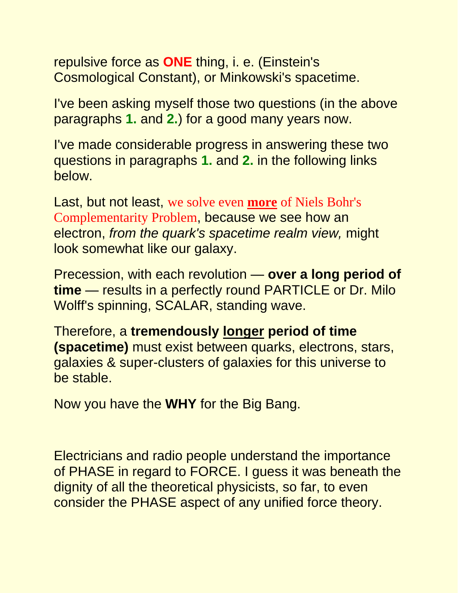repulsive force as **ONE** thing, i. e. (Einstein's Cosmological Constant), or Minkowski's spacetime.

I've been asking myself those two questions (in the above paragraphs **1.** and **2.**) for a good many years now.

I've made considerable progress in answering these two questions in paragraphs **1.** and **2.** in the following links below.

Last, but not least, we solve even **more** of Niels Bohr's Complementarity Problem, because we see how an electron, *from the quark's spacetime realm view,* might look somewhat like our galaxy.

Precession, with each revolution — **over a long period of time** — results in a perfectly round PARTICLE or Dr. Milo Wolff's spinning, SCALAR, standing wave.

Therefore, a **tremendously longer period of time (spacetime)** must exist between quarks, electrons, stars, galaxies & super-clusters of galaxies for this universe to be stable.

Now you have the **WHY** for the Big Bang.

Electricians and radio people understand the importance of PHASE in regard to FORCE. I guess it was beneath the dignity of all the theoretical physicists, so far, to even consider the PHASE aspect of any unified force theory.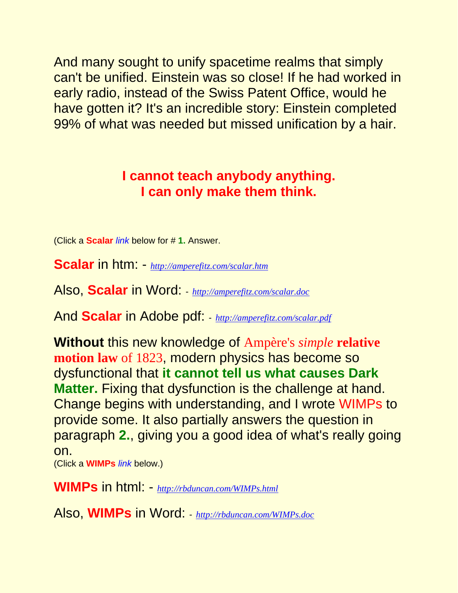And many sought to unify spacetime realms that simply can't be unified. Einstein was so close! If he had worked in early radio, instead of the Swiss Patent Office, would he have gotten it? It's an incredible story: Einstein completed 99% of what was needed but missed unification by a hair.

#### **I cannot teach anybody anything. I can only make them think.**

(Click a **Scalar** *link* below for # **1.** Answer.

**Scalar** in htm: - *<http://amperefitz.com/scalar.htm>*

Also, **Scalar** in Word: - *<http://amperefitz.com/scalar.doc>*

And **Scalar** in Adobe pdf: - *<http://amperefitz.com/scalar.pdf>*

**Without** this new knowledge of Ampère's *simple* **relative motion law** of 1823, modern physics has become so dysfunctional that **it cannot tell us what causes Dark Matter.** Fixing that dysfunction is the challenge at hand. Change begins with understanding, and I wrote WIMPs to provide some. It also partially answers the question in paragraph **2.**, giving you a good idea of what's really going on.

(Click a **WIMPs** *link* below.)

**WIMPs** in html: - *<http://rbduncan.com/WIMPs.html>*

Also, **WIMPs** in Word: - *<http://rbduncan.com/WIMPs.doc>*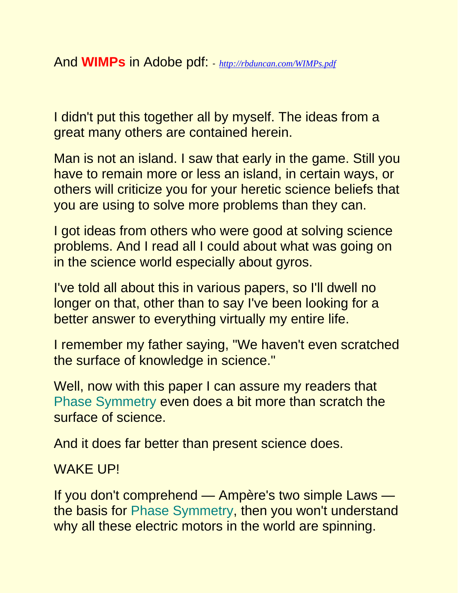I didn't put this together all by myself. The ideas from a great many others are contained herein.

Man is not an island. I saw that early in the game. Still you have to remain more or less an island, in certain ways, or others will criticize you for your heretic science beliefs that you are using to solve more problems than they can.

I got ideas from others who were good at solving science problems. And I read all I could about what was going on in the science world especially about gyros.

I've told all about this in various papers, so I'll dwell no longer on that, other than to say I've been looking for a better answer to everything virtually my entire life.

I remember my father saying, "We haven't even scratched the surface of knowledge in science."

Well, now with this paper I can assure my readers that Phase Symmetry even does a bit more than scratch the surface of science.

And it does far better than present science does.

WAKE UP!

If you don't comprehend — Ampère's two simple Laws the basis for Phase Symmetry, then you won't understand why all these electric motors in the world are spinning.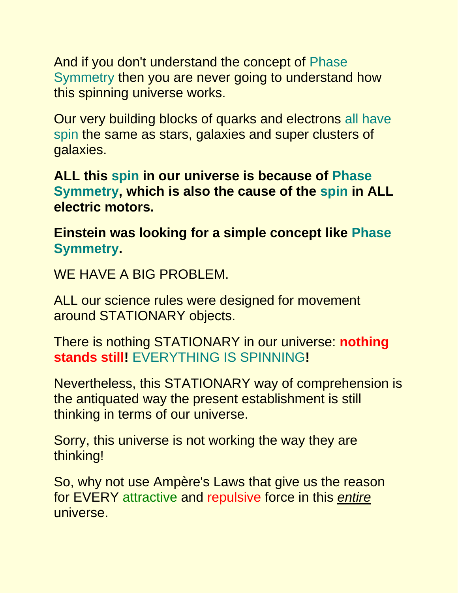And if you don't understand the concept of Phase Symmetry then you are never going to understand how this spinning universe works.

Our very building blocks of quarks and electrons all have spin the same as stars, galaxies and super clusters of galaxies.

**ALL this spin in our universe is because of Phase Symmetry, which is also the cause of the spin in ALL electric motors.**

**Einstein was looking for a simple concept like Phase Symmetry.**

WE HAVE A BIG PROBLEM.

ALL our science rules were designed for movement around STATIONARY objects.

There is nothing STATIONARY in our universe: **nothing stands still!** EVERYTHING IS SPINNING**!**

Nevertheless, this STATIONARY way of comprehension is the antiquated way the present establishment is still thinking in terms of our universe.

Sorry, this universe is not working the way they are thinking!

So, why not use Ampère's Laws that give us the reason for EVERY attractive and repulsive force in this *entire* universe.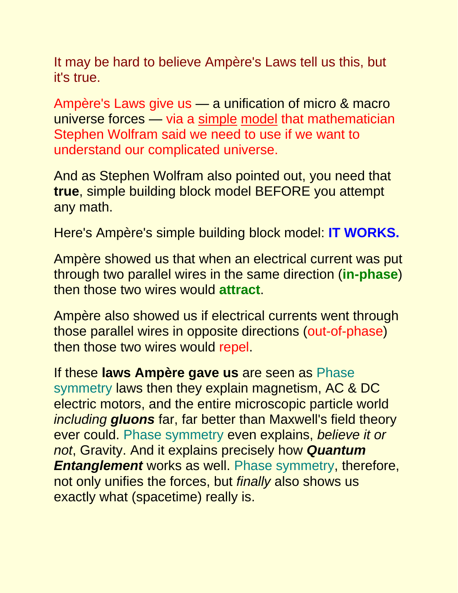It may be hard to believe Ampère's Laws tell us this, but it's true.

Ampère's Laws give us — a unification of micro & macro universe forces — via a simple model that mathematician Stephen Wolfram said we need to use if we want to understand our complicated universe.

And as Stephen Wolfram also pointed out, you need that **true**, simple building block model BEFORE you attempt any math.

Here's Ampère's simple building block model: **IT WORKS.**

Ampère showed us that when an electrical current was put through two parallel wires in the same direction (**in-phase**) then those two wires would **attract**.

Ampère also showed us if electrical currents went through those parallel wires in opposite directions (out-of-phase) then those two wires would repel.

If these **laws Ampère gave us** are seen as Phase symmetry laws then they explain magnetism, AC & DC electric motors, and the entire microscopic particle world *including gluons* far, far better than Maxwell's field theory ever could. Phase symmetry even explains, *believe it or not*, Gravity. And it explains precisely how *Quantum Entanglement* works as well. Phase symmetry, therefore, not only unifies the forces, but *finally* also shows us exactly what (spacetime) really is.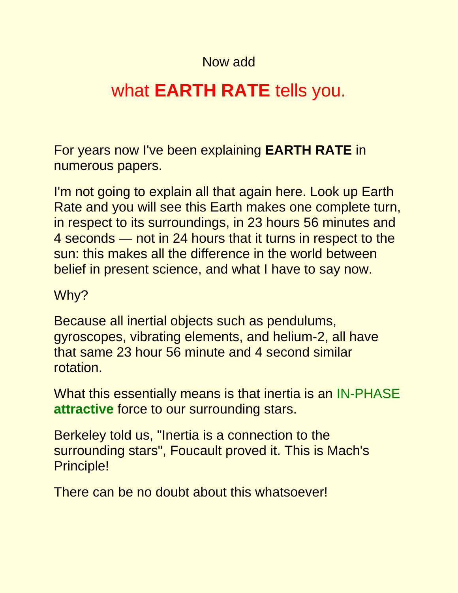#### Now add

# what **EARTH RATE** tells you.

For years now I've been explaining **EARTH RATE** in numerous papers.

I'm not going to explain all that again here. Look up Earth Rate and you will see this Earth makes one complete turn, in respect to its surroundings, in 23 hours 56 minutes and 4 seconds — not in 24 hours that it turns in respect to the sun: this makes all the difference in the world between belief in present science, and what I have to say now.

#### Why?

Because all inertial objects such as pendulums, gyroscopes, vibrating elements, and helium-2, all have that same 23 hour 56 minute and 4 second similar rotation.

What this essentially means is that inertia is an IN-PHASE **attractive** force to our surrounding stars.

Berkeley told us, "Inertia is a connection to the surrounding stars", Foucault proved it. This is Mach's Principle!

There can be no doubt about this whatsoever!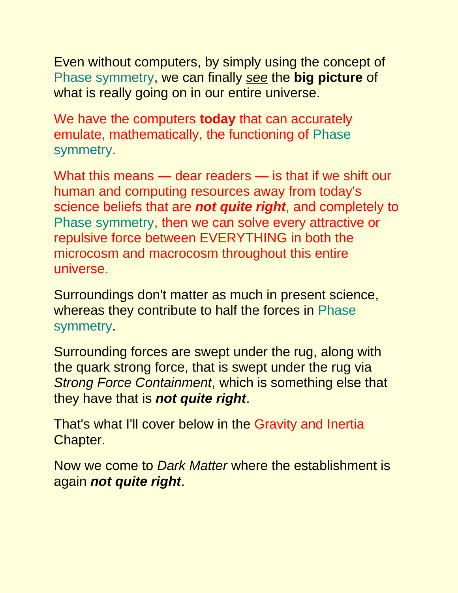Even without computers, by simply using the concept of Phase symmetry, we can finally *see* the **big picture** of what is really going on in our entire universe.

We have the computers **today** that can accurately emulate, mathematically, the functioning of Phase symmetry.

What this means — dear readers — is that if we shift our human and computing resources away from today's science beliefs that are *not quite right*, and completely to Phase symmetry, then we can solve every attractive or repulsive force between EVERYTHING in both the microcosm and macrocosm throughout this entire universe.

Surroundings don't matter as much in present science, whereas they contribute to half the forces in Phase symmetry.

Surrounding forces are swept under the rug, along with the quark strong force, that is swept under the rug via *Strong Force Containment*, which is something else that they have that is *not quite right*.

That's what I'll cover below in the Gravity and Inertia Chapter.

Now we come to *Dark Matter* where the establishment is again *not quite right*.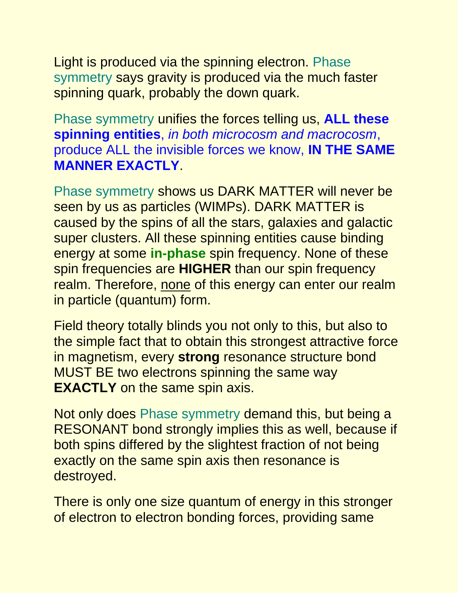Light is produced via the spinning electron. Phase symmetry says gravity is produced via the much faster spinning quark, probably the down quark.

Phase symmetry unifies the forces telling us, **ALL these spinning entities**, *in both microcosm and macrocosm*, produce ALL the invisible forces we know, **IN THE SAME MANNER EXACTLY**.

Phase symmetry shows us DARK MATTER will never be seen by us as particles (WIMPs). DARK MATTER is caused by the spins of all the stars, galaxies and galactic super clusters. All these spinning entities cause binding energy at some **in-phase** spin frequency. None of these spin frequencies are **HIGHER** than our spin frequency realm. Therefore, none of this energy can enter our realm in particle (quantum) form.

Field theory totally blinds you not only to this, but also to the simple fact that to obtain this strongest attractive force in magnetism, every **strong** resonance structure bond MUST BE two electrons spinning the same way **EXACTLY** on the same spin axis.

Not only does Phase symmetry demand this, but being a RESONANT bond strongly implies this as well, because if both spins differed by the slightest fraction of not being exactly on the same spin axis then resonance is destroyed.

There is only one size quantum of energy in this stronger of electron to electron bonding forces, providing same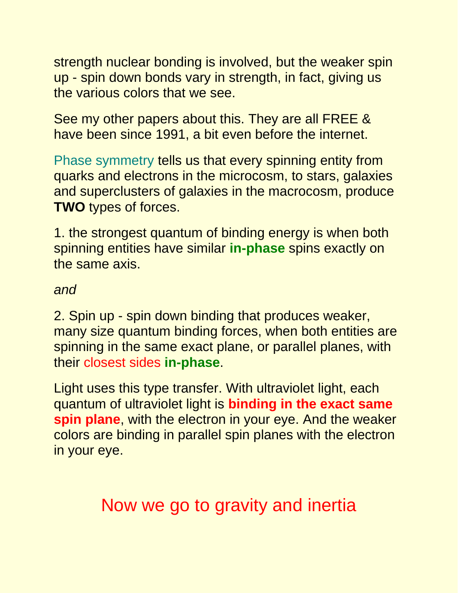strength nuclear bonding is involved, but the weaker spin up - spin down bonds vary in strength, in fact, giving us the various colors that we see.

See my other papers about this. They are all FREE & have been since 1991, a bit even before the internet.

Phase symmetry tells us that every spinning entity from quarks and electrons in the microcosm, to stars, galaxies and superclusters of galaxies in the macrocosm, produce **TWO** types of forces.

1. the strongest quantum of binding energy is when both spinning entities have similar **in-phase** spins exactly on the same axis.

#### *and*

2. Spin up - spin down binding that produces weaker, many size quantum binding forces, when both entities are spinning in the same exact plane, or parallel planes, with their closest sides **in-phase**.

Light uses this type transfer. With ultraviolet light, each quantum of ultraviolet light is **binding in the exact same spin plane**, with the electron in your eye. And the weaker colors are binding in parallel spin planes with the electron in your eye.

Now we go to gravity and inertia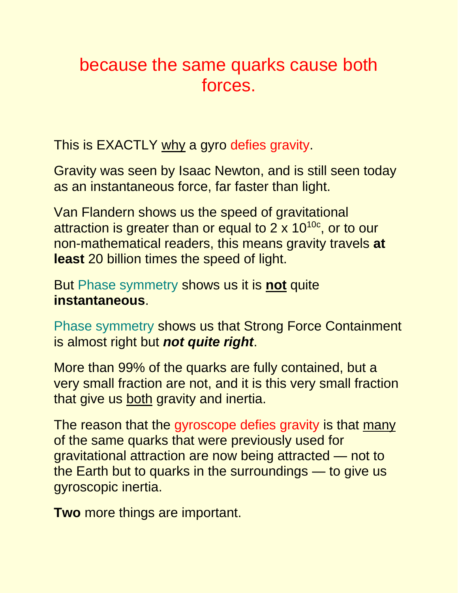# because the same quarks cause both forces.

This is EXACTLY why a gyro defies gravity.

Gravity was seen by Isaac Newton, and is still seen today as an instantaneous force, far faster than light.

Van Flandern shows us the speed of gravitational attraction is greater than or equal to  $2 \times 10^{10c}$ , or to our non-mathematical readers, this means gravity travels **at least** 20 billion times the speed of light.

But Phase symmetry shows us it is **not** quite **instantaneous**.

Phase symmetry shows us that Strong Force Containment is almost right but *not quite right*.

More than 99% of the quarks are fully contained, but a very small fraction are not, and it is this very small fraction that give us both gravity and inertia.

The reason that the gyroscope defies gravity is that many of the same quarks that were previously used for gravitational attraction are now being attracted — not to the Earth but to quarks in the surroundings — to give us gyroscopic inertia.

**Two** more things are important.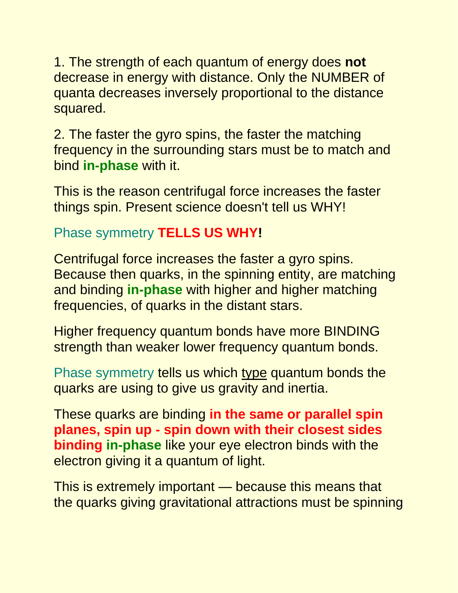1. The strength of each quantum of energy does **not** decrease in energy with distance. Only the NUMBER of quanta decreases inversely proportional to the distance squared.

2. The faster the gyro spins, the faster the matching frequency in the surrounding stars must be to match and bind **in-phase** with it.

This is the reason centrifugal force increases the faster things spin. Present science doesn't tell us WHY!

#### Phase symmetry **TELLS US WHY!**

Centrifugal force increases the faster a gyro spins. Because then quarks, in the spinning entity, are matching and binding **in-phase** with higher and higher matching frequencies, of quarks in the distant stars.

Higher frequency quantum bonds have more BINDING strength than weaker lower frequency quantum bonds.

Phase symmetry tells us which type quantum bonds the quarks are using to give us gravity and inertia.

These quarks are binding **in the same or parallel spin planes, spin up - spin down with their closest sides binding in-phase** like your eye electron binds with the electron giving it a quantum of light.

This is extremely important — because this means that the quarks giving gravitational attractions must be spinning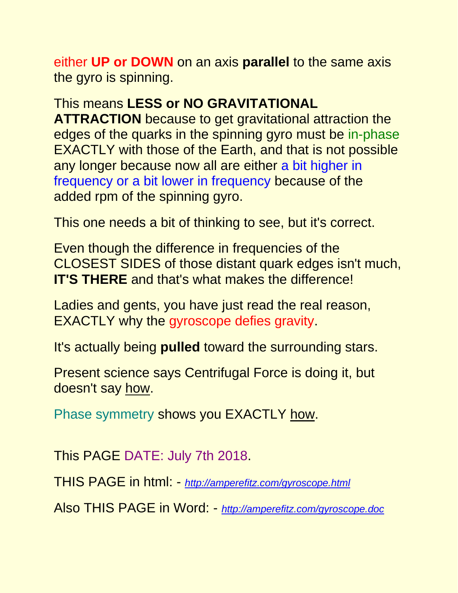either **UP or DOWN** on an axis **parallel** to the same axis the gyro is spinning.

#### This means **LESS or NO GRAVITATIONAL**

**ATTRACTION** because to get gravitational attraction the edges of the quarks in the spinning gyro must be in-phase EXACTLY with those of the Earth, and that is not possible any longer because now all are either a bit higher in frequency or a bit lower in frequency because of the added rpm of the spinning gyro.

This one needs a bit of thinking to see, but it's correct.

Even though the difference in frequencies of the CLOSEST SIDES of those distant quark edges isn't much, **IT'S THERE** and that's what makes the difference!

Ladies and gents, you have just read the real reason, EXACTLY why the gyroscope defies gravity.

It's actually being **pulled** toward the surrounding stars.

Present science says Centrifugal Force is doing it, but doesn't say how.

Phase symmetry shows you EXACTLY how.

This PAGE DATE: July 7th 2018.

THIS PAGE in html: - *<http://amperefitz.com/gyroscope.html>*

Also THIS PAGE in Word: - *[http://amperefitz.com/gyroscope.doc](http://http/amperefitz.com/gyroscope.doc)*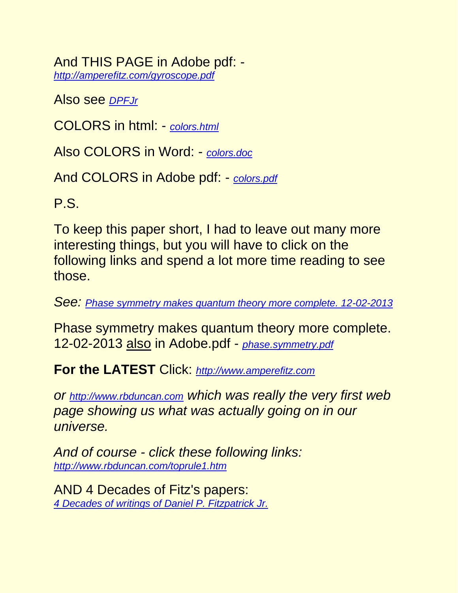And THIS PAGE in Adobe pdf: *<http://amperefitz.com/gyroscope.pdf>*

Also see *[DPFJr](http://rbduncan.com/DPFJr)*

COLORS in html: - *[colors.html](http://amperefitz.com/colors.html)*

Also COLORS in Word: - *[colors.doc](http://amperefitz.com/colors.doc)*

And COLORS in Adobe pdf: - *[colors.pdf](http://amperefitz.com/colors.pdf)*

P.S.

To keep this paper short, I had to leave out many more interesting things, but you will have to click on the following links and spend a lot more time reading to see those.

*See: [Phase symmetry makes quantum theory more complete. 12-02-2013](http://amperefitz.com/phase.symmetry.htm)*

Phase symmetry makes quantum theory more complete. 12-02-2013 also in Adobe.pdf - *[phase.symmetry.pdf](http://amperefitz.com/phase.symmetry.pdf)*

**For the LATEST** Click: *[http://www.amperefitz.com](http://www.amperefitz.com/)*

*or [http://www.rbduncan.com](http://www.rbduncan.com/) which was really the very first web page showing us what was actually going on in our universe.*

*And of course - click these following links: <http://www.rbduncan.com/toprule1.htm>*

AND 4 Decades of Fitz's papers: *[4 Decades of writings of Daniel P. Fitzpatrick Jr.](http://www.rbduncan.com/4.decades.htm)*